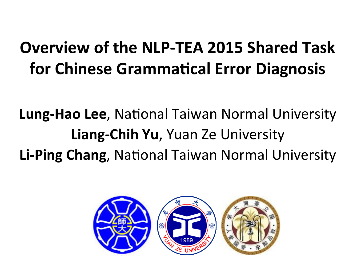#### **Overview of the NLP-TEA 2015 Shared Task for Chinese Grammatical Error Diagnosis**

#### **Lung-Hao Lee, National Taiwan Normal University Liang-Chih Yu, Yuan Ze University Li-Ping Chang, National Taiwan Normal University**

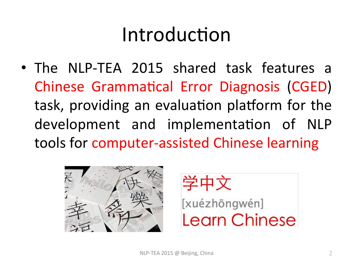## Introduction

• The NLP-TEA 2015 shared task features a Chinese Grammatical Error Diagnosis (CGED) task, providing an evaluation platform for the development and implementation of NLP tools for computer-assisted Chinese learning



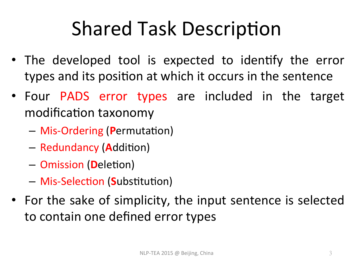## **Shared Task Description**

- The developed tool is expected to identify the error types and its position at which it occurs in the sentence
- Four PADS error types are included in the target modification taxonomy
	- $-$  Mis-Ordering (Permutation)
	- $-$  Redundancy (**A**ddition)
	- $-$  Omission (Deletion)
	- $-$  Mis-Selection (Substitution)
- For the sake of simplicity, the input sentence is selected to contain one defined error types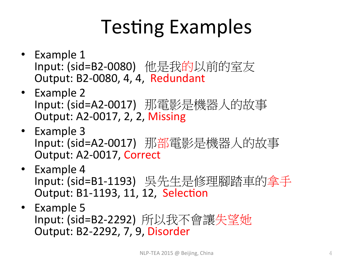# **Testing Examples**

- Example 1 Input: (sid=B2-0080) 他是我的以前的室友 Output: B2-0080, 4, 4, Redundant
- Example 2 Input: (sid=A2-0017) 那電影是機器人的故事 Output: A2-0017, 2, 2, Missing
- Example 3 Input: (sid=A2-0017) 那部電影是機器人的故事 Output: A2-0017, Correct
- Example 4 Input: (sid=B1-1193) 吳先生是修理腳踏車的拿手 Output: B1-1193, 11, 12, Selection
- Example  $5$ Input: (sid=B2-2292) 所以我不會讓失望她 Output: B2-2292, 7, 9, Disorder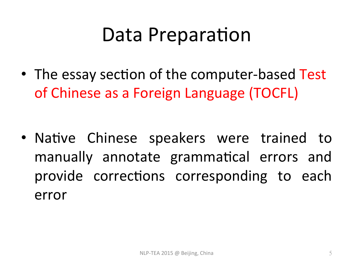#### Data Preparation

• The essay section of the computer-based Test of Chinese as a Foreign Language (TOCFL)

• Native Chinese speakers were trained to manually annotate grammatical errors and provide corrections corresponding to each error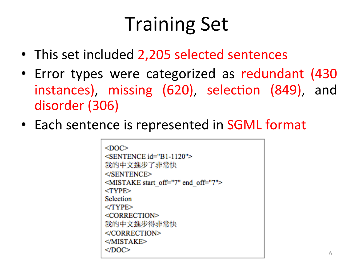# **Training Set**

- This set included 2,205 selected sentences
- Error types were categorized as redundant (430 instances), missing (620), selection (849), and disorder (306)
- Each sentence is represented in SGML format

 $<$ DOC $>$  $\le$ SENTENCE id="B1-1120"> 我的中文進步了非常快 </SENTENCE> <MISTAKE start off="7" end off="7">  $<$ TYPE $>$ Selection  $<$ /TYPE $>$ <CORRECTION> 我的中文進步得非常快  $<$ /CORRECTION>  $<$ /MISTAKE>  $<$ /DOC>  $\frac{1}{\sqrt{2}}$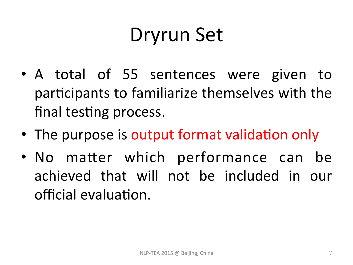## Dryrun Set

- A total of 55 sentences were given to participants to familiarize themselves with the final testing process.
- The purpose is output format validation only
- No matter which performance can be achieved that will not be included in our official evaluation.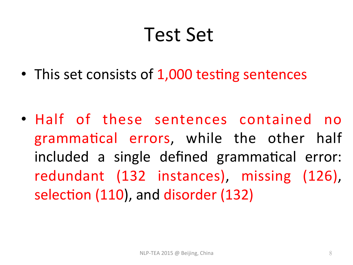#### Test Set

• This set consists of 1,000 testing sentences

• Half of these sentences contained no grammatical errors, while the other half included a single defined grammatical error: redundant (132 instances), missing (126), selection (110), and disorder (132)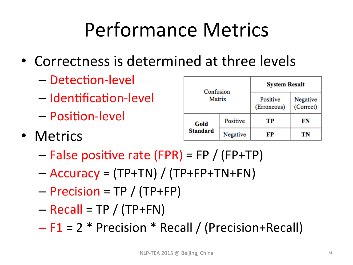# Performance Metrics

- Correctness is determined at three levels
	- Detection-level
	- Identification-level
	- Position-level
- Metrics

| Confusion               |          |                         |                       |  |  |  |  |  |
|-------------------------|----------|-------------------------|-----------------------|--|--|--|--|--|
| Matrix                  |          | Positive<br>(Erroneous) | Negative<br>(Correct) |  |  |  |  |  |
| Gold<br><b>Standard</b> | Positive | тр                      | FN                    |  |  |  |  |  |
|                         | Negative | FР                      | TN                    |  |  |  |  |  |

**Svetom Doenlt** 

- $-$  False positive rate (FPR) = FP / (FP+TP)
- $-$  Accuracy = (TP+TN) / (TP+FP+TN+FN)
- $-$  Precision = TP / (TP+FP)
- $-$  Recall = TP / (TP+FN)
- $F1 = 2 * Precision * Recall / (Precision + Recall)$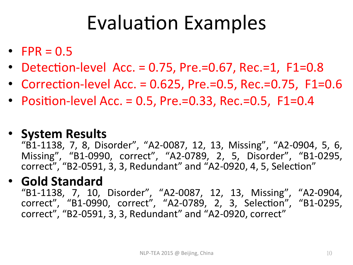## **Evaluation Examples**

- FPR =  $0.5$
- Detection-level Acc.  $= 0.75$ , Pre.=0.67, Rec.=1, F1=0.8
- Correction-level Acc. =  $0.625$ , Pre.=0.5, Rec.=0.75, F1=0.6
- Position-level Acc. = 0.5, Pre.=0.33, Rec.=0.5, F1=0.4

#### • **System Results**

"B1-1138, 7, 8, Disorder", "A2-0087, 12, 13, Missing", "A2-0904, 5, 6, Missing", "B1-0990, correct", "A2-0789, 2, 5, Disorder", "B1-0295, correct", "B2-0591, 3, 3, Redundant" and "A2-0920, 4, 5, Selection"

#### • **Gold Standard**

"B1-1138, 7, 10, Disorder", "A2-0087, 12, 13, Missing", "A2-0904, correct", "B1-0990, correct", "A2-0789, 2, 3, Selection", "B1-0295, correct", "B2-0591, 3, 3, Redundant" and "A2-0920, correct"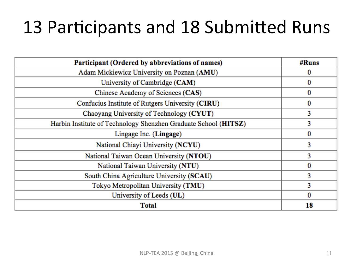#### 13 Participants and 18 Submitted Runs

| Participant (Ordered by abbreviations of names)                 | #Runs    |
|-----------------------------------------------------------------|----------|
| Adam Mickiewicz University on Poznan (AMU)                      |          |
| University of Cambridge (CAM)                                   | $\bf{0}$ |
| Chinese Academy of Sciences (CAS)                               | 0        |
| Confucius Institute of Rutgers University (CIRU)                | 0        |
| Chaoyang University of Technology (CYUT)                        | 3        |
| Harbin Institute of Technology Shenzhen Graduate School (HITSZ) | 3        |
| Lingage Inc. (Lingage)                                          | 0        |
| National Chiayi University (NCYU)                               | 3        |
| National Taiwan Ocean University (NTOU)                         | 3        |
| National Taiwan University (NTU)                                | $\bf{0}$ |
| South China Agriculture University (SCAU)                       | 3        |
| Tokyo Metropolitan University (TMU)                             | 3        |
| University of Leeds (UL)                                        | 0        |
| <b>Total</b>                                                    | 18       |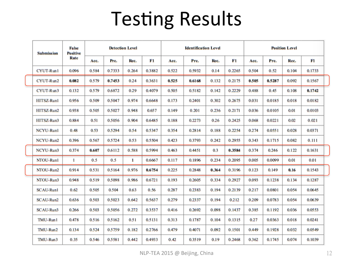### **Testing Results**

|  | False<br><b>Positive</b><br><b>Submission</b><br>Rate | <b>Detection Level</b> |       |        | <b>Identification Level</b> |        |       | <b>Position Level</b> |       |        |       |        |       |        |  |
|--|-------------------------------------------------------|------------------------|-------|--------|-----------------------------|--------|-------|-----------------------|-------|--------|-------|--------|-------|--------|--|
|  |                                                       |                        | Acc.  | Pre.   | Rec.                        | F1     | Acc.  | Pre.                  | Rec.  | F1     | Acc.  | Pre.   | Rec.  | F1     |  |
|  | CYUT-Run1                                             | 0.096                  | 0.584 | 0.7333 | 0.264                       | 0.3882 | 0.522 | 0.5932                | 0.14  | 0.2265 | 0.504 | 0.52   | 0.104 | 0.1733 |  |
|  | CYUT-Run2                                             | 0.082                  | 0.579 | 0.7453 | 0.24                        | 0.3631 | 0.525 | 0.6168                | 0.132 | 0.2175 | 0.505 | 0.5287 | 0.092 | 0.1567 |  |
|  | CYUT-Run3                                             | 0.132                  | 0.579 | 0.6872 | 0.29                        | 0.4079 | 0.505 | 0.5182                | 0.142 | 0.2229 | 0.488 | 0.45   | 0.108 | 0.1742 |  |
|  | HITSZ-Runl                                            | 0.956                  | 0.509 | 0.5047 | 0.974                       | 0.6648 | 0.173 | 0.2401                | 0.302 | 0.2675 | 0.031 | 0.0185 | 0.018 | 0.0182 |  |
|  | HITSZ-Run2                                            | 0.938                  | 0.505 | 0.5027 | 0.948                       | 0.657  | 0.149 | 0.201                 | 0.236 | 0.2171 | 0.036 | 0.0105 | 0.01  | 0.0103 |  |
|  | HITSZ-Run3                                            | 0.884                  | 0.51  | 0.5056 | 0.904                       | 0.6485 | 0.188 | 0.2273                | 0.26  | 0.2425 | 0.068 | 0.0221 | 0.02  | 0.021  |  |
|  | <b>NCYU-Runl</b>                                      | 0.48                   | 0.53  | 0.5294 | 0.54                        | 0.5347 | 0.354 | 0.2814                | 0.188 | 0.2254 | 0.274 | 0.0551 | 0.028 | 0.0371 |  |
|  | NCYU-Run2                                             | 0.396                  | 0.567 | 0.5724 | 0.53                        | 0.5504 | 0.423 | 0.3793                | 0.242 | 0.2955 | 0.343 | 0.1715 | 0.082 | 0.111  |  |
|  | NCYU-Run3                                             | 0.374                  | 0.607 | 0.6112 | 0.588                       | 0.5994 | 0.463 | 0.4451                | 0.3   | 0.3584 | 0.374 | 0.246  | 0.122 | 0.1631 |  |
|  | NTOU-Runl                                             | $\mathbf{1}$           | 0.5   | 0.5    | 1                           | 0.6667 | 0.117 | 0.1896                | 0.234 | 0.2095 | 0.005 | 0.0099 | 0.01  | 0.01   |  |
|  | NTOU-Run2                                             | 0.914                  | 0.531 | 0.5164 | 0.976                       | 0.6754 | 0.225 | 0.2848                | 0.364 | 0.3196 | 0.123 | 0.149  | 0.16  | 0.1543 |  |
|  | NTOU-Run3                                             | 0.948                  | 0.519 | 0.5098 | 0.986                       | 0.6721 | 0.193 | 0.2605                | 0.334 | 0.2927 | 0.093 | 0.1238 | 0.134 | 0.1287 |  |
|  | <b>SCAU-Runl</b>                                      | 0.62                   | 0.505 | 0.504  | 0.63                        | 0.56   | 0.287 | 0.2383                | 0.194 | 0.2139 | 0.217 | 0.0801 | 0.054 | 0.0645 |  |
|  | SCAU-Run2                                             | 0.636                  | 0.503 | 0.5023 | 0.642                       | 0.5637 | 0.279 | 0.2337                | 0.194 | 0.212  | 0.209 | 0.0783 | 0.054 | 0.0639 |  |
|  | SCAU-Run3                                             | 0.266                  | 0.503 | 0.5056 | 0.272                       | 0.3537 | 0.416 | 0.2692                | 0.098 | 0.1437 | 0.385 | 0.1192 | 0.036 | 0.0553 |  |
|  | TMU-Run1                                              | 0.478                  | 0.516 | 0.5162 | 0.51                        | 0.5131 | 0.313 | 0.1787                | 0.104 | 0.1315 | 0.27  | 0.0363 | 0.018 | 0.0241 |  |
|  | TMU-Run2                                              | 0.134                  | 0.524 | 0.5759 | 0.182                       | 0.2766 | 0.479 | 0.4071                | 0.092 | 0.1501 | 0.449 | 0.1928 | 0.032 | 0.0549 |  |
|  | TMU-Run3                                              | 0.35                   | 0.546 | 0.5581 | 0.442                       | 0.4933 | 0.42  | 0.3519                | 0.19  | 0.2468 | 0.362 | 0.1745 | 0.074 | 0.1039 |  |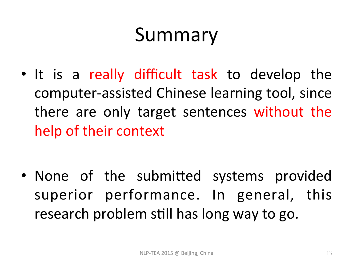## Summary

• It is a really difficult task to develop the computer-assisted Chinese learning tool, since there are only target sentences without the help of their context

• None of the submitted systems provided superior performance. In general, this research problem still has long way to go.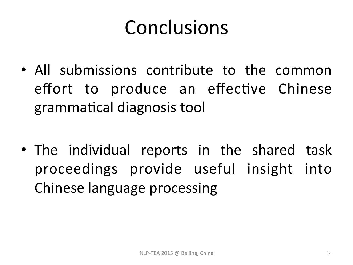#### Conclusions

- All submissions contribute to the common effort to produce an effective Chinese grammatical diagnosis tool
- The individual reports in the shared task proceedings provide useful insight into Chinese language processing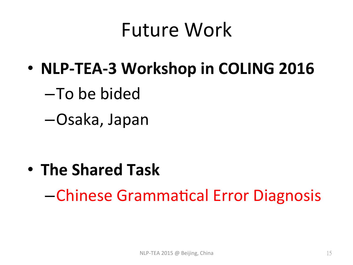#### Future Work

- **NLP-TEA-3 Workshop in COLING 2016** 
	- –To be bided
	- –Osaka, Japan

**• The Shared Task** 

–Chinese Gramma%cal Error Diagnosis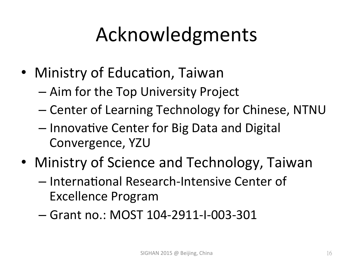# Acknowledgments

- Ministry of Education, Taiwan
	- Aim for the Top University Project
	- Center of Learning Technology for Chinese, NTNU
	- Innovative Center for Big Data and Digital Convergence, YZU
- Ministry of Science and Technology, Taiwan
	- International Research-Intensive Center of **Excellence Program**
	- Grant no.: MOST 104-2911-I-003-301